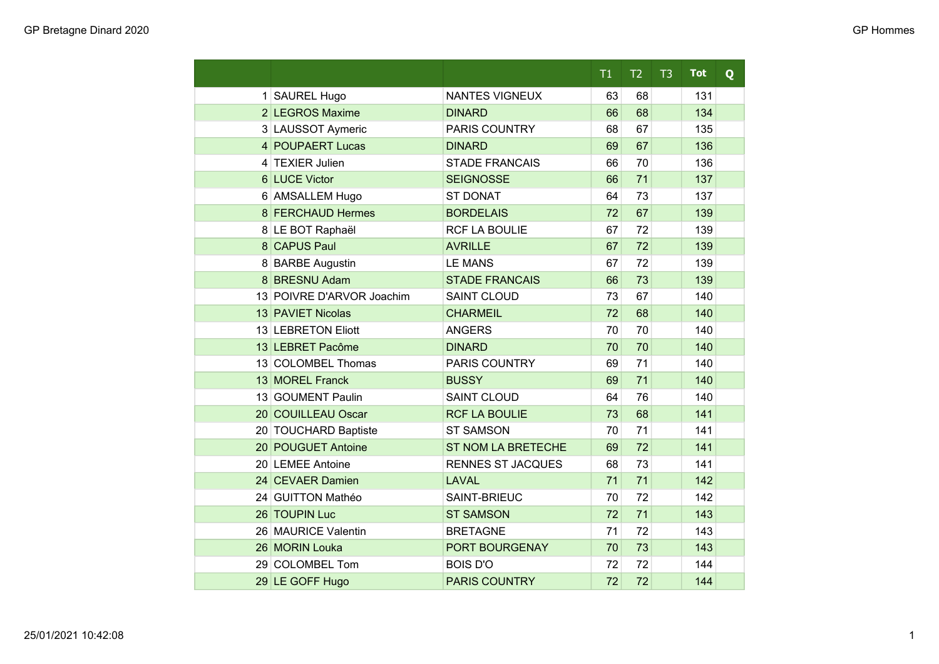|                           |                           | T1 | T2 | T3 | <b>Tot</b> | Q |
|---------------------------|---------------------------|----|----|----|------------|---|
| 1 SAUREL Hugo             | NANTES VIGNEUX            | 63 | 68 |    | 131        |   |
| 2 LEGROS Maxime           | <b>DINARD</b>             | 66 | 68 |    | 134        |   |
| 3 LAUSSOT Aymeric         | <b>PARIS COUNTRY</b>      | 68 | 67 |    | 135        |   |
| 4 POUPAERT Lucas          | <b>DINARD</b>             | 69 | 67 |    | 136        |   |
| 4 TEXIER Julien           | <b>STADE FRANCAIS</b>     | 66 | 70 |    | 136        |   |
| 6 LUCE Victor             | <b>SEIGNOSSE</b>          | 66 | 71 |    | 137        |   |
| 6 AMSALLEM Hugo           | <b>ST DONAT</b>           | 64 | 73 |    | 137        |   |
| 8 FERCHAUD Hermes         | <b>BORDELAIS</b>          | 72 | 67 |    | 139        |   |
| 8 LE BOT Raphaël          | <b>RCF LA BOULIE</b>      | 67 | 72 |    | 139        |   |
| 8 CAPUS Paul              | <b>AVRILLE</b>            | 67 | 72 |    | 139        |   |
| 8 BARBE Augustin          | <b>LE MANS</b>            | 67 | 72 |    | 139        |   |
| 8 BRESNU Adam             | <b>STADE FRANCAIS</b>     | 66 | 73 |    | 139        |   |
| 13 POIVRE D'ARVOR Joachim | <b>SAINT CLOUD</b>        | 73 | 67 |    | 140        |   |
| 13 PAVIET Nicolas         | <b>CHARMEIL</b>           | 72 | 68 |    | 140        |   |
| 13 LEBRETON Eliott        | <b>ANGERS</b>             | 70 | 70 |    | 140        |   |
| 13 LEBRET Pacôme          | <b>DINARD</b>             | 70 | 70 |    | 140        |   |
| 13 COLOMBEL Thomas        | <b>PARIS COUNTRY</b>      | 69 | 71 |    | 140        |   |
| 13 MOREL Franck           | <b>BUSSY</b>              | 69 | 71 |    | 140        |   |
| 13 GOUMENT Paulin         | <b>SAINT CLOUD</b>        | 64 | 76 |    | 140        |   |
| 20 COUILLEAU Oscar        | <b>RCF LA BOULIE</b>      | 73 | 68 |    | 141        |   |
| 20 TOUCHARD Baptiste      | <b>ST SAMSON</b>          | 70 | 71 |    | 141        |   |
| 20 POUGUET Antoine        | <b>ST NOM LA BRETECHE</b> | 69 | 72 |    | 141        |   |
| 20 LEMEE Antoine          | <b>RENNES ST JACQUES</b>  | 68 | 73 |    | 141        |   |
| 24 CEVAER Damien          | <b>LAVAL</b>              | 71 | 71 |    | 142        |   |
| 24 GUITTON Mathéo         | SAINT-BRIEUC              | 70 | 72 |    | 142        |   |
| 26 TOUPIN Luc             | <b>ST SAMSON</b>          | 72 | 71 |    | 143        |   |
| 26 MAURICE Valentin       | <b>BRETAGNE</b>           | 71 | 72 |    | 143        |   |
| 26 MORIN Louka            | PORT BOURGENAY            | 70 | 73 |    | 143        |   |
| 29 COLOMBEL Tom           | <b>BOIS D'O</b>           | 72 | 72 |    | 144        |   |
| 29 LE GOFF Hugo           | <b>PARIS COUNTRY</b>      | 72 | 72 |    | 144        |   |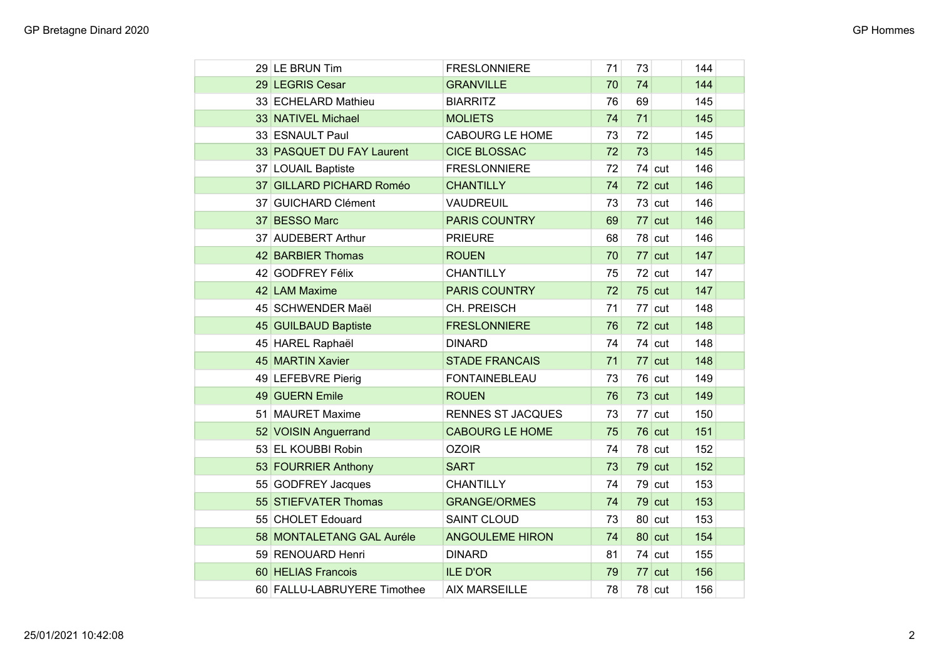| 29 LE BRUN Tim              | <b>FRESLONNIERE</b>      | 71 | 73 |          | 144 |  |
|-----------------------------|--------------------------|----|----|----------|-----|--|
| 29 LEGRIS Cesar             | <b>GRANVILLE</b>         | 70 | 74 |          | 144 |  |
| 33 ECHELARD Mathieu         | <b>BIARRITZ</b>          | 76 | 69 |          | 145 |  |
| 33 NATIVEL Michael          | <b>MOLIETS</b>           | 74 | 71 |          | 145 |  |
| 33 ESNAULT Paul             | <b>CABOURG LE HOME</b>   | 73 | 72 |          | 145 |  |
| 33 PASQUET DU FAY Laurent   | <b>CICE BLOSSAC</b>      | 72 | 73 |          | 145 |  |
| 37 LOUAIL Baptiste          | <b>FRESLONNIERE</b>      | 72 |    | $74$ cut | 146 |  |
| 37 GILLARD PICHARD Roméo    | <b>CHANTILLY</b>         | 74 |    | $72$ cut | 146 |  |
| 37 GUICHARD Clément         | <b>VAUDREUIL</b>         | 73 |    | $73$ cut | 146 |  |
| 37 BESSO Marc               | <b>PARIS COUNTRY</b>     | 69 |    | $77$ cut | 146 |  |
| 37 AUDEBERT Arthur          | <b>PRIEURE</b>           | 68 |    | $78$ cut | 146 |  |
| 42 BARBIER Thomas           | <b>ROUEN</b>             | 70 |    | $77$ cut | 147 |  |
| 42 GODFREY Félix            | <b>CHANTILLY</b>         | 75 |    | $72$ cut | 147 |  |
| 42 LAM Maxime               | <b>PARIS COUNTRY</b>     | 72 |    | $75$ cut | 147 |  |
| 45 SCHWENDER Maël           | CH. PREISCH              | 71 |    | $77$ cut | 148 |  |
| 45 GUILBAUD Baptiste        | <b>FRESLONNIERE</b>      | 76 |    | $72$ cut | 148 |  |
| 45 HAREL Raphaël            | <b>DINARD</b>            | 74 |    | $74$ cut | 148 |  |
| 45 MARTIN Xavier            | <b>STADE FRANCAIS</b>    | 71 |    | $77$ cut | 148 |  |
| 49 LEFEBVRE Pierig          | <b>FONTAINEBLEAU</b>     | 73 |    | $76$ cut | 149 |  |
| 49 GUERN Emile              | <b>ROUEN</b>             | 76 |    | $73$ cut | 149 |  |
| 51 MAURET Maxime            | <b>RENNES ST JACQUES</b> | 73 |    | $77$ cut | 150 |  |
| 52 VOISIN Anguerrand        | <b>CABOURG LE HOME</b>   | 75 |    | $76$ cut | 151 |  |
| 53 EL KOUBBI Robin          | <b>OZOIR</b>             | 74 |    | $78$ cut | 152 |  |
| 53 FOURRIER Anthony         | <b>SART</b>              | 73 |    | $79$ cut | 152 |  |
| 55 GODFREY Jacques          | <b>CHANTILLY</b>         | 74 |    | $79$ cut | 153 |  |
| 55 STIEFVATER Thomas        | <b>GRANGE/ORMES</b>      | 74 |    | $79$ cut | 153 |  |
| 55 CHOLET Edouard           | <b>SAINT CLOUD</b>       | 73 |    | $80$ cut | 153 |  |
| 58 MONTALETANG GAL Auréle   | <b>ANGOULEME HIRON</b>   | 74 |    | $80$ cut | 154 |  |
| 59 RENOUARD Henri           | <b>DINARD</b>            | 81 |    | $74$ cut | 155 |  |
| 60 HELIAS Francois          | <b>ILE D'OR</b>          | 79 |    | $77$ cut | 156 |  |
| 60 FALLU-LABRUYERE Timothee | <b>AIX MARSEILLE</b>     | 78 |    | $78$ cut | 156 |  |
|                             |                          |    |    |          |     |  |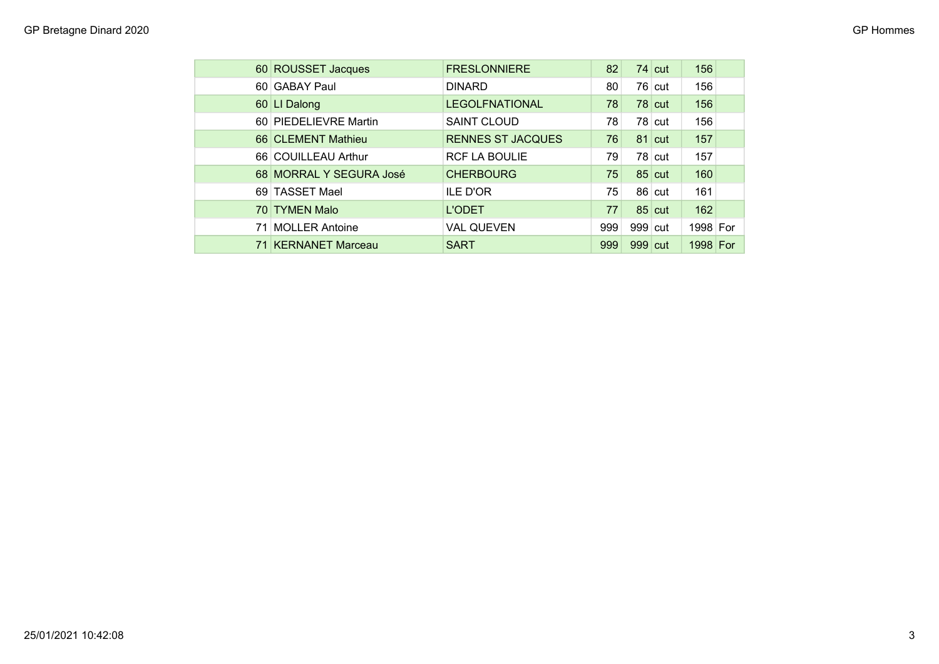| 60 ROUSSET Jacques      | <b>FRESLONNIERE</b>      | 82  |           | $74$ cut | 156      |  |
|-------------------------|--------------------------|-----|-----------|----------|----------|--|
| 60 GABAY Paul           | <b>DINARD</b>            | 80  |           | $76$ cut | 156      |  |
| 60 LI Dalong            | <b>LEGOLFNATIONAL</b>    | 78  |           | $78$ cut | 156      |  |
| 60 PIEDELIEVRE Martin   | <b>SAINT CLOUD</b>       | 78  |           | $78$ cut | 156      |  |
| 66 CLEMENT Mathieu      | <b>RENNES ST JACQUES</b> | 76  |           | $81$ cut | 157      |  |
| 66 COUILLEAU Arthur     | <b>RCF LA BOULIE</b>     | 79  |           | $78$ cut | 157      |  |
| 68 MORRAL Y SEGURA José | <b>CHERBOURG</b>         | 75  |           | $85$ cut | 160      |  |
| 69 TASSET Mael          | <b>ILE D'OR</b>          | 75  |           | $86$ cut | 161      |  |
| 70 TYMEN Malo           | <b>L'ODET</b>            | 77  |           | $85$ cut | 162      |  |
| 71 MOLLER Antoine       | <b>VAL QUEVEN</b>        | 999 | $999$ cut |          | 1998 For |  |
| 71 KERNANET Marceau     | <b>SART</b>              | 999 | $999$ cut |          | 1998 For |  |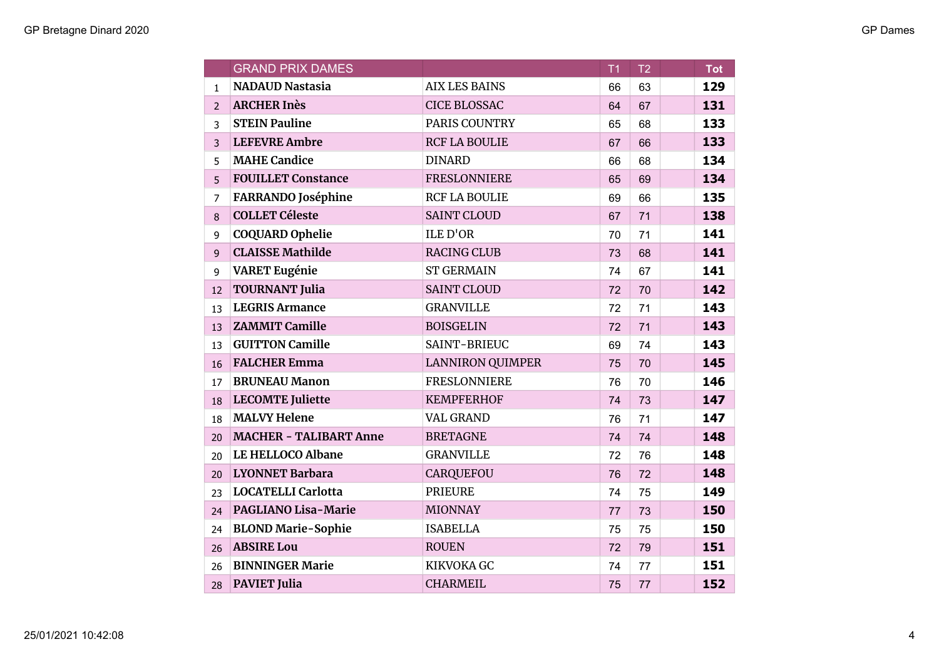|                | <b>GRAND PRIX DAMES</b>       |                         | T1 | T <sub>2</sub> | <b>Tot</b> |
|----------------|-------------------------------|-------------------------|----|----------------|------------|
| $\mathbf{1}$   | <b>NADAUD Nastasia</b>        | <b>AIX LES BAINS</b>    | 66 | 63             | 129        |
| $\mathcal{P}$  | <b>ARCHER Inès</b>            | <b>CICE BLOSSAC</b>     | 64 | 67             | 131        |
| 3              | <b>STEIN Pauline</b>          | PARIS COUNTRY           | 65 | 68             | 133        |
| 3              | <b>LEFEVRE Ambre</b>          | <b>RCF LA BOULIE</b>    | 67 | 66             | 133        |
| 5              | <b>MAHE Candice</b>           | <b>DINARD</b>           | 66 | 68             | 134        |
| 5              | <b>FOUILLET Constance</b>     | <b>FRESLONNIERE</b>     | 65 | 69             | 134        |
| $\overline{7}$ | <b>FARRANDO</b> Joséphine     | <b>RCF LA BOULIE</b>    | 69 | 66             | 135        |
| 8              | <b>COLLET Céleste</b>         | <b>SAINT CLOUD</b>      | 67 | 71             | 138        |
| 9              | <b>COQUARD Ophelie</b>        | <b>ILE D'OR</b>         | 70 | 71             | 141        |
| 9              | <b>CLAISSE Mathilde</b>       | <b>RACING CLUB</b>      | 73 | 68             | 141        |
| 9              | <b>VARET Eugénie</b>          | <b>ST GERMAIN</b>       | 74 | 67             | 141        |
| 12             | <b>TOURNANT Julia</b>         | <b>SAINT CLOUD</b>      | 72 | 70             | 142        |
| 13             | <b>LEGRIS Armance</b>         | <b>GRANVILLE</b>        | 72 | 71             | 143        |
| 13             | <b>ZAMMIT Camille</b>         | <b>BOISGELIN</b>        | 72 | 71             | 143        |
| 13             | <b>GUITTON Camille</b>        | SAINT-BRIEUC            | 69 | 74             | 143        |
| 16             | <b>FALCHER Emma</b>           | <b>LANNIRON QUIMPER</b> | 75 | 70             | 145        |
| 17             | <b>BRUNEAU Manon</b>          | <b>FRESLONNIERE</b>     | 76 | 70             | 146        |
| 18             | <b>LECOMTE</b> Juliette       | <b>KEMPFERHOF</b>       | 74 | 73             | 147        |
| 18             | <b>MALVY Helene</b>           | <b>VAL GRAND</b>        | 76 | 71             | 147        |
| 20             | <b>MACHER - TALIBART Anne</b> | <b>BRETAGNE</b>         | 74 | 74             | 148        |
| 20             | LE HELLOCO Albane             | <b>GRANVILLE</b>        | 72 | 76             | 148        |
| 20             | <b>LYONNET Barbara</b>        | <b>CARQUEFOU</b>        | 76 | 72             | 148        |
| 23             | <b>LOCATELLI Carlotta</b>     | <b>PRIEURE</b>          | 74 | 75             | 149        |
| 24             | <b>PAGLIANO Lisa-Marie</b>    | <b>MIONNAY</b>          | 77 | 73             | 150        |
| 24             | <b>BLOND Marie-Sophie</b>     | <b>ISABELLA</b>         | 75 | 75             | 150        |
| 26             | <b>ABSIRE Lou</b>             | <b>ROUEN</b>            | 72 | 79             | 151        |
| 26             | <b>BINNINGER Marie</b>        | <b>KIKVOKA GC</b>       | 74 | 77             | 151        |
| 28             | <b>PAVIET Julia</b>           | <b>CHARMEIL</b>         | 75 | 77             | 152        |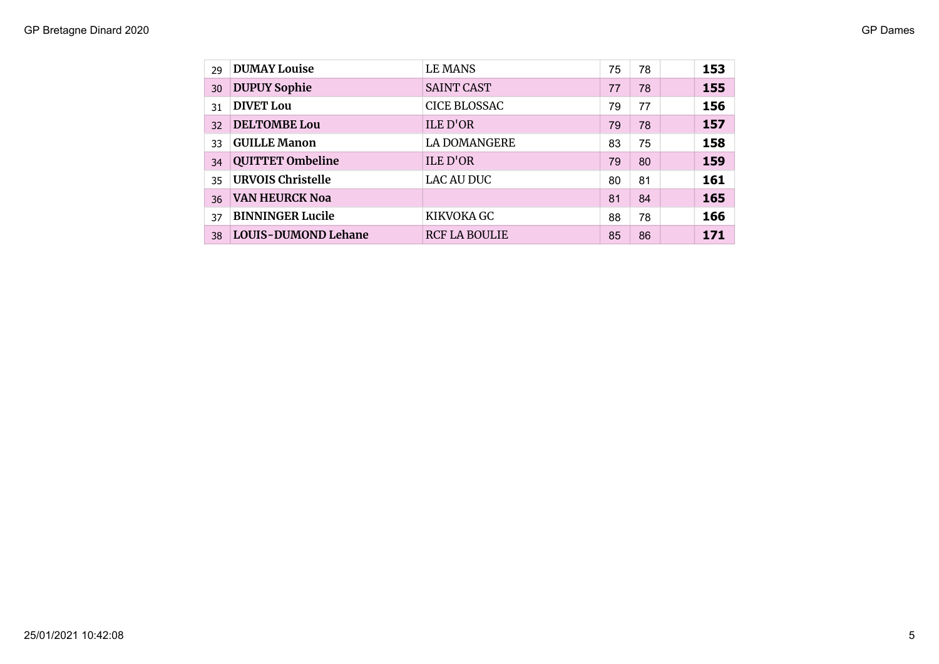## GP Bretagne Dinard 2020 GP Dames

| 29 | <b>DUMAY Louise</b>      | <b>LE MANS</b>       | 75 | 78 | 153 |
|----|--------------------------|----------------------|----|----|-----|
| 30 | <b>DUPUY Sophie</b>      | <b>SAINT CAST</b>    | 77 | 78 | 155 |
| 31 | <b>DIVET Lou</b>         | <b>CICE BLOSSAC</b>  | 79 | 77 | 156 |
| 32 | <b>DELTOMBE Lou</b>      | <b>ILE D'OR</b>      | 79 | 78 | 157 |
| 33 | <b>GUILLE Manon</b>      | <b>LA DOMANGERE</b>  | 83 | 75 | 158 |
| 34 | <b>QUITTET Ombeline</b>  | <b>ILE D'OR</b>      | 79 | 80 | 159 |
| 35 | <b>URVOIS Christelle</b> | <b>LAC AU DUC</b>    | 80 | 81 | 161 |
| 36 | <b>VAN HEURCK Noa</b>    |                      | 81 | 84 | 165 |
| 37 | <b>BINNINGER Lucile</b>  | KIKVOKA GC           | 88 | 78 | 166 |
| 38 | LOUIS-DUMOND Lehane      | <b>RCF LA BOULIE</b> | 85 | 86 | 171 |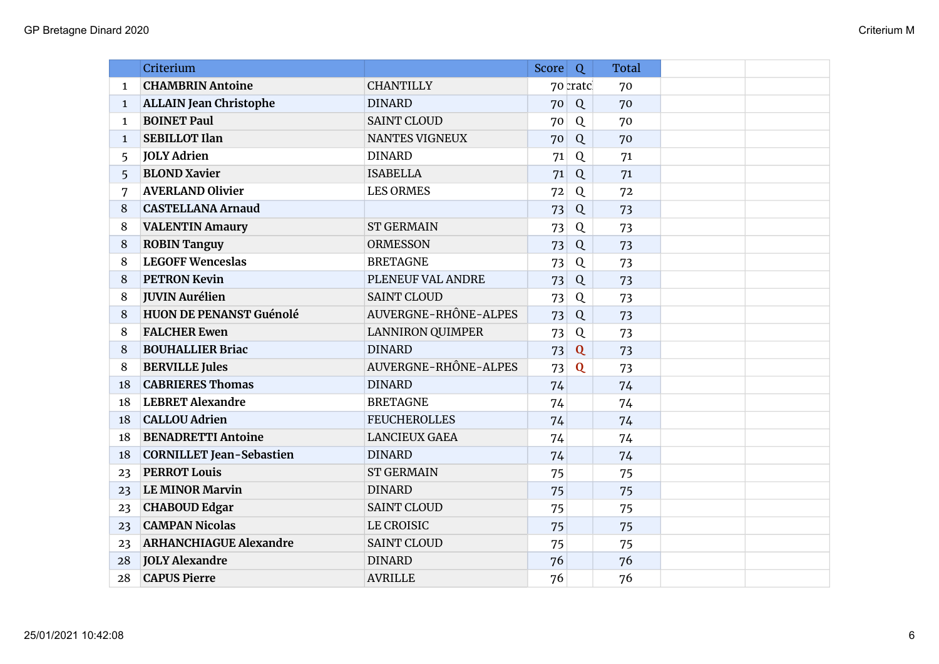|              | Criterium                       |                         | Score <sup>1</sup> | Q                       | <b>Total</b> |  |
|--------------|---------------------------------|-------------------------|--------------------|-------------------------|--------------|--|
| 1            | <b>CHAMBRIN Antoine</b>         | <b>CHANTILLY</b>        |                    | 70 cratcl               | 70           |  |
| $\mathbf{1}$ | <b>ALLAIN Jean Christophe</b>   | <b>DINARD</b>           | 70                 | Q                       | 70           |  |
| $\mathbf{1}$ | <b>BOINET Paul</b>              | <b>SAINT CLOUD</b>      | 70                 | Q                       | 70           |  |
| $\mathbf{1}$ | <b>SEBILLOT Ilan</b>            | NANTES VIGNEUX          | 70                 | Q                       | 70           |  |
| 5            | <b>JOLY Adrien</b>              | <b>DINARD</b>           | 71                 | Q                       | 71           |  |
| 5            | <b>BLOND Xavier</b>             | <b>ISABELLA</b>         | 71                 | Q                       | 71           |  |
| 7            | <b>AVERLAND Olivier</b>         | <b>LES ORMES</b>        | 72                 | Q                       | 72           |  |
| 8            | <b>CASTELLANA Arnaud</b>        |                         | 73                 | Q                       | 73           |  |
| 8            | <b>VALENTIN Amaury</b>          | <b>ST GERMAIN</b>       | 73                 | Q                       | 73           |  |
| 8            | <b>ROBIN Tanguy</b>             | <b>ORMESSON</b>         | 73                 | Q                       | 73           |  |
| 8            | <b>LEGOFF Wenceslas</b>         | <b>BRETAGNE</b>         | 73                 | Q                       | 73           |  |
| 8            | <b>PETRON Kevin</b>             | PLENEUF VAL ANDRE       | 73                 | Q                       | 73           |  |
| 8            | <b>JUVIN Aurélien</b>           | <b>SAINT CLOUD</b>      | 73                 | Q                       | 73           |  |
| 8            | <b>HUON DE PENANST Guénolé</b>  | AUVERGNE-RHÔNE-ALPES    | 73                 | Q                       | 73           |  |
| 8            | <b>FALCHER Ewen</b>             | <b>LANNIRON QUIMPER</b> | 73                 | Q                       | 73           |  |
| 8            | <b>BOUHALLIER Briac</b>         | <b>DINARD</b>           | 73                 | $\overline{\mathbf{Q}}$ | 73           |  |
| 8            | <b>BERVILLE Jules</b>           | AUVERGNE-RHÔNE-ALPES    | 73                 | $\mathbf{Q}$            | 73           |  |
| 18           | <b>CABRIERES Thomas</b>         | <b>DINARD</b>           | 74                 |                         | 74           |  |
| 18           | <b>LEBRET Alexandre</b>         | <b>BRETAGNE</b>         | 74                 |                         | 74           |  |
| 18           | <b>CALLOU Adrien</b>            | <b>FEUCHEROLLES</b>     | 74                 |                         | 74           |  |
| 18           | <b>BENADRETTI Antoine</b>       | <b>LANCIEUX GAEA</b>    | 74                 |                         | 74           |  |
| 18           | <b>CORNILLET Jean-Sebastien</b> | <b>DINARD</b>           | 74                 |                         | 74           |  |
| 23           | <b>PERROT Louis</b>             | <b>ST GERMAIN</b>       | 75                 |                         | 75           |  |
| 23           | <b>LE MINOR Marvin</b>          | <b>DINARD</b>           | 75                 |                         | 75           |  |
| 23           | <b>CHABOUD Edgar</b>            | <b>SAINT CLOUD</b>      | 75                 |                         | 75           |  |
| 23           | <b>CAMPAN Nicolas</b>           | <b>LE CROISIC</b>       | 75                 |                         | 75           |  |
| 23           | <b>ARHANCHIAGUE Alexandre</b>   | <b>SAINT CLOUD</b>      | 75                 |                         | 75           |  |
| 28           | <b>JOLY Alexandre</b>           | <b>DINARD</b>           | 76                 |                         | 76           |  |
| 28           | <b>CAPUS Pierre</b>             | <b>AVRILLE</b>          | 76                 |                         | 76           |  |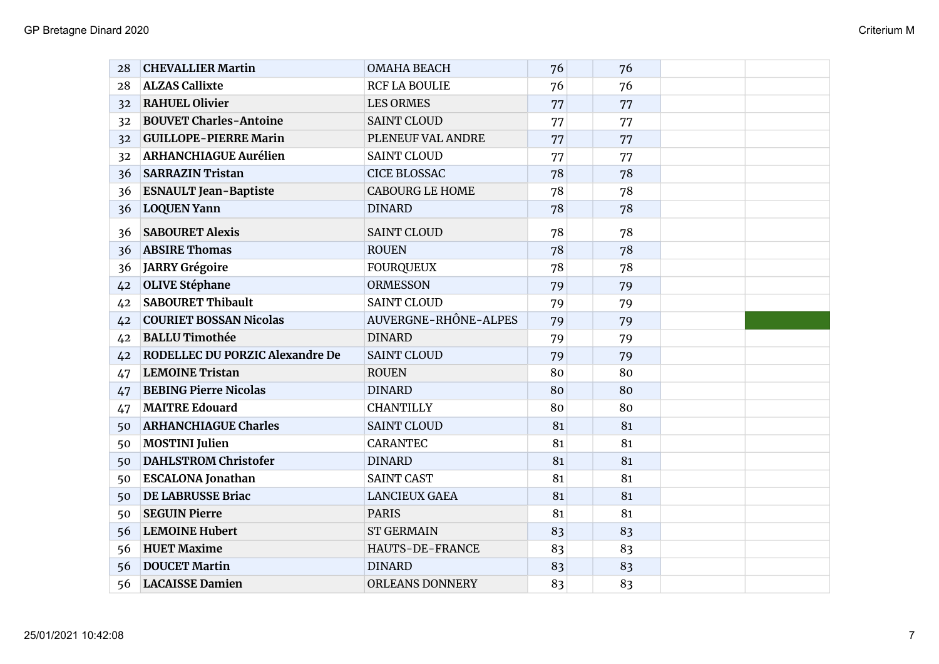| 28 | <b>CHEVALLIER Martin</b>               | <b>OMAHA BEACH</b>     | 76 | 76 |  |
|----|----------------------------------------|------------------------|----|----|--|
| 28 | <b>ALZAS Callixte</b>                  | <b>RCF LA BOULIE</b>   | 76 | 76 |  |
| 32 | <b>RAHUEL Olivier</b>                  | <b>LES ORMES</b>       | 77 | 77 |  |
| 32 | <b>BOUVET Charles-Antoine</b>          | <b>SAINT CLOUD</b>     | 77 | 77 |  |
| 32 | <b>GUILLOPE-PIERRE Marin</b>           | PLENEUF VAL ANDRE      | 77 | 77 |  |
| 32 | <b>ARHANCHIAGUE Aurélien</b>           | <b>SAINT CLOUD</b>     | 77 | 77 |  |
| 36 | <b>SARRAZIN Tristan</b>                | <b>CICE BLOSSAC</b>    | 78 | 78 |  |
| 36 | <b>ESNAULT Jean-Baptiste</b>           | <b>CABOURG LE HOME</b> | 78 | 78 |  |
| 36 | <b>LOQUEN Yann</b>                     | <b>DINARD</b>          | 78 | 78 |  |
| 36 | <b>SABOURET Alexis</b>                 | <b>SAINT CLOUD</b>     | 78 | 78 |  |
| 36 | <b>ABSIRE Thomas</b>                   | <b>ROUEN</b>           | 78 | 78 |  |
| 36 | JARRY Grégoire                         | <b>FOURQUEUX</b>       | 78 | 78 |  |
| 42 | <b>OLIVE Stéphane</b>                  | <b>ORMESSON</b>        | 79 | 79 |  |
| 42 | <b>SABOURET Thibault</b>               | <b>SAINT CLOUD</b>     | 79 | 79 |  |
| 42 | <b>COURIET BOSSAN Nicolas</b>          | AUVERGNE-RHÔNE-ALPES   | 79 | 79 |  |
| 42 | <b>BALLU Timothée</b>                  | <b>DINARD</b>          | 79 | 79 |  |
| 42 | <b>RODELLEC DU PORZIC Alexandre De</b> | <b>SAINT CLOUD</b>     | 79 | 79 |  |
| 47 | <b>LEMOINE Tristan</b>                 | <b>ROUEN</b>           | 80 | 80 |  |
| 47 | <b>BEBING Pierre Nicolas</b>           | <b>DINARD</b>          | 80 | 80 |  |
| 47 | <b>MAITRE Edouard</b>                  | <b>CHANTILLY</b>       | 80 | 80 |  |
| 50 | <b>ARHANCHIAGUE Charles</b>            | <b>SAINT CLOUD</b>     | 81 | 81 |  |
| 50 | <b>MOSTINI</b> Julien                  | <b>CARANTEC</b>        | 81 | 81 |  |
| 50 | <b>DAHLSTROM Christofer</b>            | <b>DINARD</b>          | 81 | 81 |  |
| 50 | <b>ESCALONA Jonathan</b>               | <b>SAINT CAST</b>      | 81 | 81 |  |
| 50 | DE LABRUSSE Briac                      | <b>LANCIEUX GAEA</b>   | 81 | 81 |  |
| 50 | <b>SEGUIN Pierre</b>                   | <b>PARIS</b>           | 81 | 81 |  |
| 56 | <b>LEMOINE Hubert</b>                  | <b>ST GERMAIN</b>      | 83 | 83 |  |
| 56 | <b>HUET Maxime</b>                     | <b>HAUTS-DE-FRANCE</b> | 83 | 83 |  |
| 56 | <b>DOUCET Martin</b>                   | <b>DINARD</b>          | 83 | 83 |  |
| 56 | <b>LACAISSE Damien</b>                 | <b>ORLEANS DONNERY</b> | 83 | 83 |  |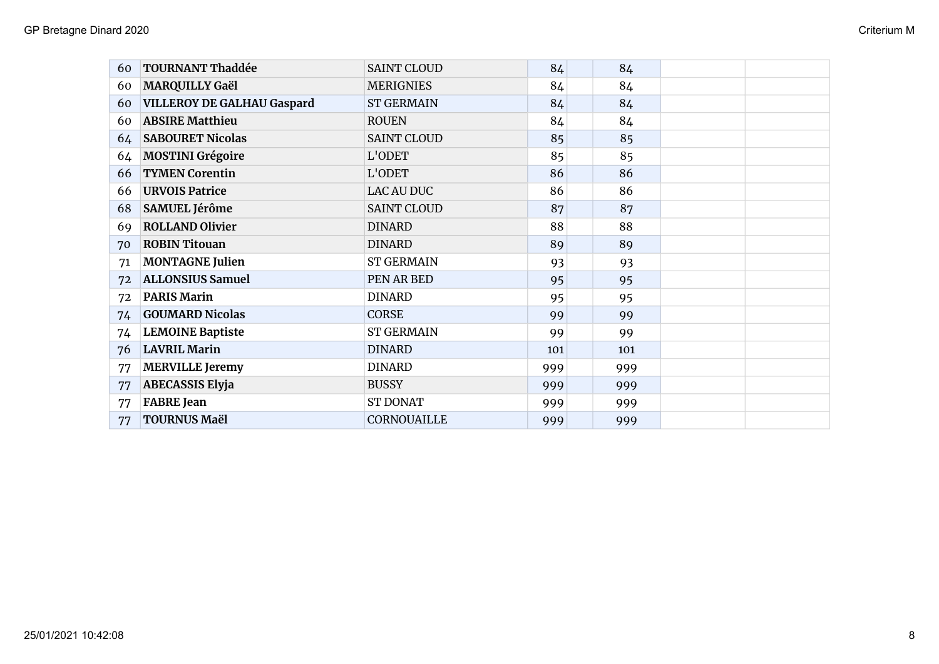| 60 | <b>TOURNANT Thaddée</b>           | <b>SAINT CLOUD</b> | 84  | 84  |  |
|----|-----------------------------------|--------------------|-----|-----|--|
| 60 | <b>MARQUILLY Gaël</b>             | <b>MERIGNIES</b>   | 84  | 84  |  |
| 60 | <b>VILLEROY DE GALHAU Gaspard</b> | <b>ST GERMAIN</b>  | 84  | 84  |  |
| 60 | <b>ABSIRE Matthieu</b>            | <b>ROUEN</b>       | 84  | 84  |  |
| 64 | <b>SABOURET Nicolas</b>           | <b>SAINT CLOUD</b> | 85  | 85  |  |
| 64 | <b>MOSTINI Grégoire</b>           | L'ODET             | 85  | 85  |  |
| 66 | <b>TYMEN Corentin</b>             | L'ODET             | 86  | 86  |  |
| 66 | <b>URVOIS Patrice</b>             | <b>LAC AU DUC</b>  | 86  | 86  |  |
| 68 | SAMUEL Jérôme                     | <b>SAINT CLOUD</b> | 87  | 87  |  |
| 69 | <b>ROLLAND Olivier</b>            | <b>DINARD</b>      | 88  | 88  |  |
| 70 | <b>ROBIN Titouan</b>              | <b>DINARD</b>      | 89  | 89  |  |
| 71 | <b>MONTAGNE Julien</b>            | <b>ST GERMAIN</b>  | 93  | 93  |  |
| 72 | <b>ALLONSIUS Samuel</b>           | PEN AR BED         | 95  | 95  |  |
| 72 | <b>PARIS Marin</b>                | <b>DINARD</b>      | 95  | 95  |  |
| 74 | <b>GOUMARD Nicolas</b>            | <b>CORSE</b>       | 99  | 99  |  |
| 74 | <b>LEMOINE Baptiste</b>           | <b>ST GERMAIN</b>  | 99  | 99  |  |
| 76 | <b>LAVRIL Marin</b>               | <b>DINARD</b>      | 101 | 101 |  |
| 77 | <b>MERVILLE Jeremy</b>            | <b>DINARD</b>      | 999 | 999 |  |
| 77 | <b>ABECASSIS Elyja</b>            | <b>BUSSY</b>       | 999 | 999 |  |
| 77 | <b>FABRE</b> Jean                 | <b>ST DONAT</b>    | 999 | 999 |  |
| 77 | <b>TOURNUS Maël</b>               | <b>CORNOUAILLE</b> | 999 | 999 |  |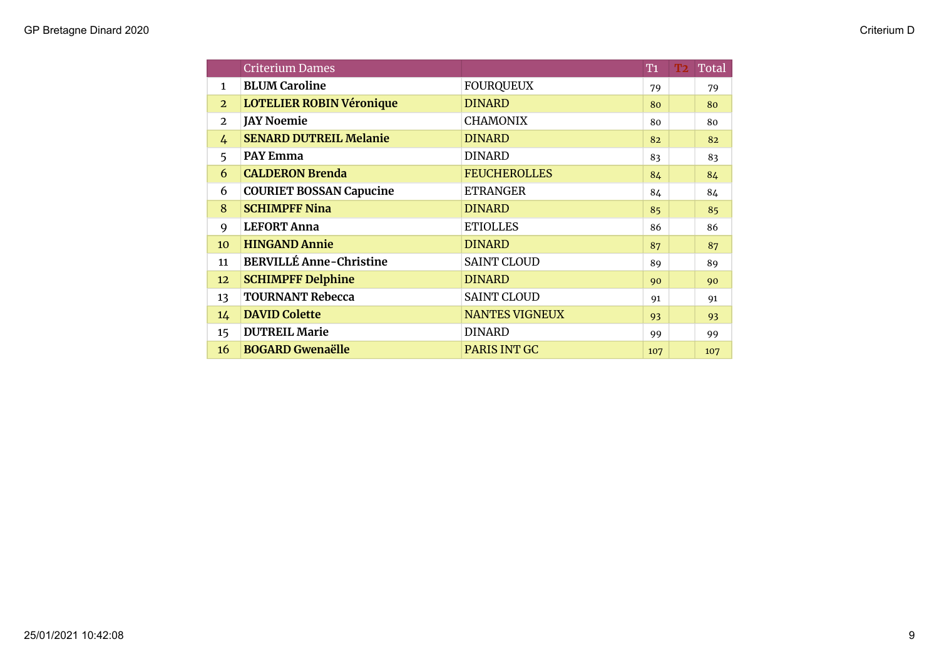|                | <b>Criterium Dames</b>          |                       | T <sub>1</sub> | <b>T2</b> | <b>Total</b> |
|----------------|---------------------------------|-----------------------|----------------|-----------|--------------|
| $\mathbf{1}$   | <b>BLUM Caroline</b>            | <b>FOURQUEUX</b>      | 79             |           | 79           |
| $\overline{2}$ | <b>LOTELIER ROBIN Véronique</b> | <b>DINARD</b>         | 80             |           | 80           |
| $\overline{2}$ | <b>JAY Noemie</b>               | <b>CHAMONIX</b>       | 80             |           | 80           |
| $\frac{1}{4}$  | <b>SENARD DUTREIL Melanie</b>   | <b>DINARD</b>         | 82             |           | 82           |
| 5              | <b>PAY Emma</b>                 | <b>DINARD</b>         | 83             |           | 83           |
| 6              | <b>CALDERON Brenda</b>          | <b>FEUCHEROLLES</b>   | 84             |           | 84           |
| 6              | <b>COURIET BOSSAN Capucine</b>  | <b>ETRANGER</b>       | 84             |           | 84           |
| 8              | <b>SCHIMPFF Nina</b>            | <b>DINARD</b>         | 85             |           | 85           |
| 9              | <b>LEFORT Anna</b>              | <b>ETIOLLES</b>       | 86             |           | 86           |
| 10             | <b>HINGAND Annie</b>            | <b>DINARD</b>         | 87             |           | 87           |
| 11             | <b>BERVILLÉ Anne-Christine</b>  | <b>SAINT CLOUD</b>    | 89             |           | 89           |
| 12             | <b>SCHIMPFF Delphine</b>        | <b>DINARD</b>         | 90             |           | 90           |
| 13             | <b>TOURNANT Rebecca</b>         | <b>SAINT CLOUD</b>    | 91             |           | 91           |
| 14             | <b>DAVID Colette</b>            | <b>NANTES VIGNEUX</b> | 93             |           | 93           |
| 15             | <b>DUTREIL Marie</b>            | <b>DINARD</b>         | 99             |           | 99           |
| 16             | <b>BOGARD Gwenaëlle</b>         | <b>PARIS INT GC</b>   | 107            |           | 107          |